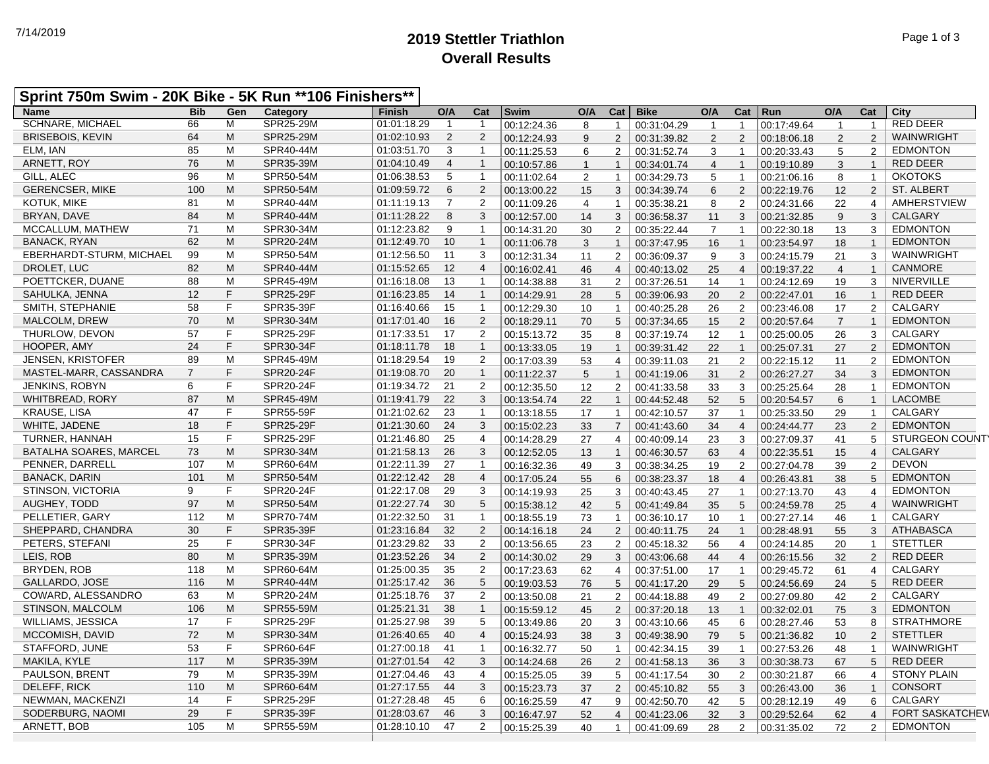## **2019 Stettler Triathlon** 7/14/2019 Page 1 of 3 **Overall Results**

| Sprint 750m Swim - 20K Bike - 5K Run **106 Finishers** |  |  |
|--------------------------------------------------------|--|--|
|--------------------------------------------------------|--|--|

| <b>Name</b>              | <b>Bib</b>     | Gen | Category         | <b>Finish</b> | O/A            | Cat            | Swim        | O/A            | Cat            | <b>Bike</b> | O/A            | Cat                     | $ $ Run     | O/A            | Cat            | City                   |
|--------------------------|----------------|-----|------------------|---------------|----------------|----------------|-------------|----------------|----------------|-------------|----------------|-------------------------|-------------|----------------|----------------|------------------------|
| <b>SCHNARE, MICHAEL</b>  | 66             | м   | SPR25-29M        | 01:01:18.29   | -1             |                | 00:12:24.36 | 8              | $\mathbf{1}$   | 00:31:04.29 | $\mathbf{1}$   | $\mathbf 1$             | 00:17:49.64 | 1              | $\mathbf{1}$   | <b>RED DEER</b>        |
| <b>BRISEBOIS, KEVIN</b>  | 64             | M   | SPR25-29M        | 01:02:10.93   | 2              | 2              | 00:12:24.93 | 9              | $\overline{2}$ | 00:31:39.82 | 2              | 2                       | 00:18:06.18 | 2              | 2              | WAINWRIGHT             |
| ELM, IAN                 | 85             | M   | SPR40-44M        | 01:03:51.70   | 3              | $\overline{1}$ | 00:11:25.53 | 6              | 2              | 00:31:52.74 | 3              | $\mathbf{1}$            | 00:20:33.43 | 5              | $\overline{2}$ | <b>EDMONTON</b>        |
| ARNETT, ROY              | 76             | M   | SPR35-39M        | 01:04:10.49   | $\overline{4}$ | $\overline{1}$ | 00:10:57.86 | $\overline{1}$ | $\mathbf{1}$   | 00:34:01.74 | $\overline{4}$ | $\mathbf{1}$            | 00:19:10.89 | 3              | $\mathbf{1}$   | <b>RED DEER</b>        |
| GILL, ALEC               | 96             | M   | SPR50-54M        | 01:06:38.53   | 5              | $\overline{1}$ | 00:11:02.64 | 2              | $\mathbf{1}$   | 00:34:29.73 | 5              | $\mathbf{1}$            | 00:21:06.16 | 8              | $\mathbf{1}$   | <b>OKOTOKS</b>         |
| <b>GERENCSER, MIKE</b>   | 100            | M   | SPR50-54M        | 01:09:59.72   | 6              | $\overline{2}$ | 00:13:00.22 | 15             | 3              | 00:34:39.74 | $\,6\,$        | $\overline{2}$          | 00:22:19.76 | 12             | $\overline{2}$ | <b>ST. ALBERT</b>      |
| <b>KOTUK. MIKE</b>       | 81             | M   | SPR40-44M        | 01:11:19.13   | $\overline{7}$ | $\overline{2}$ | 00:11:09.26 | $\overline{4}$ | $\mathbf{1}$   | 00:35:38.21 | 8              | 2                       | 00:24:31.66 | 22             | $\overline{4}$ | <b>AMHERSTVIEW</b>     |
| BRYAN, DAVE              | 84             | M   | SPR40-44M        | 01:11:28.22   | 8              | 3              | 00:12:57.00 | 14             | 3              | 00:36:58.37 | 11             | 3                       | 00:21:32.85 | 9              | 3              | <b>CALGARY</b>         |
| MCCALLUM, MATHEW         | 71             | M   | SPR30-34M        | 01:12:23.82   | 9              | $\overline{1}$ | 00:14:31.20 | 30             | 2              | 00:35:22.44 | $\overline{7}$ | $\mathbf{1}$            | 00:22:30.18 | 13             | 3              | <b>EDMONTON</b>        |
| <b>BANACK, RYAN</b>      | 62             | M   | SPR20-24M        | 01:12:49.70   | 10             | $\overline{1}$ | 00:11:06.78 | 3              | $\mathbf{1}$   | 00:37:47.95 | 16             | $\mathbf{1}$            | 00:23:54.97 | 18             | $\mathbf{1}$   | <b>EDMONTON</b>        |
| EBERHARDT-STURM, MICHAEL | 99             | M   | SPR50-54M        | 01:12:56.50   | 11             | 3              | 00:12:31.34 | 11             | 2              | 00:36:09.37 | 9              | 3                       | 00:24:15.79 | 21             | 3              | WAINWRIGHT             |
| DROLET, LUC              | 82             | M   | SPR40-44M        | 01:15:52.65   | 12             | $\overline{4}$ | 00:16:02.41 | 46             | $\overline{4}$ | 00:40:13.02 | 25             | $\overline{4}$          | 00:19:37.22 | $\overline{4}$ | $\mathbf{1}$   | CANMORE                |
| POETTCKER, DUANE         | 88             | M   | SPR45-49M        | 01:16:18.08   | 13             | $\overline{1}$ | 00:14:38.88 | 31             | 2              | 00:37:26.51 | 14             | $\mathbf{1}$            | 00:24:12.69 | 19             | 3              | NIVERVILLE             |
| SAHULKA, JENNA           | 12             | F   | SPR25-29F        | 01:16:23.85   | 14             | $\overline{1}$ | 00:14:29.91 | 28             | 5              | 00:39:06.93 | 20             | 2                       | 00:22:47.01 | 16             | $\mathbf{1}$   | <b>RED DEER</b>        |
| SMITH, STEPHANIE         | 58             | F   | SPR35-39F        | 01:16:40.66   | 15             | $\overline{1}$ | 00:12:29.30 | 10             | $\mathbf{1}$   | 00:40:25.28 | 26             | $\overline{2}$          | 00:23:46.08 | 17             | $\overline{2}$ | <b>CALGARY</b>         |
| MALCOLM, DREW            | 70             | M   | SPR30-34M        | 01:17:01.40   | 16             | $\overline{2}$ | 00:18:29.11 | 70             | 5              | 00:37:34.65 | 15             | 2                       | 00:20:57.64 | $\overline{7}$ | $\mathbf{1}$   | <b>EDMONTON</b>        |
| THURLOW, DEVON           | 57             | F   | SPR25-29F        | 01:17:33.51   | 17             | $\overline{2}$ | 00:15:13.72 | 35             | 8              | 00:37:19.74 | 12             | $\mathbf{1}$            | 00:25:00.05 | 26             | 3              | <b>CALGARY</b>         |
| HOOPER, AMY              | 24             | F   | SPR30-34F        | 01:18:11.78   | 18             | $\overline{1}$ | 00:13:33.05 | 19             | $\mathbf{1}$   | 00:39:31.42 | 22             | $\mathbf{1}$            | 00:25:07.31 | 27             | 2              | <b>EDMONTON</b>        |
| <b>JENSEN, KRISTOFER</b> | 89             | M   | SPR45-49M        | 01:18:29.54   | 19             | $\overline{2}$ | 00:17:03.39 | 53             | $\overline{4}$ | 00:39:11.03 | 21             | $\overline{2}$          | 00:22:15.12 | 11             | 2              | <b>EDMONTON</b>        |
| MASTEL-MARR, CASSANDRA   | $\overline{7}$ | F   | SPR20-24F        | 01:19:08.70   | 20             | $\overline{1}$ | 00:11:22.37 | 5              | $\mathbf{1}$   | 00:41:19.06 | 31             | 2                       | 00:26:27.27 | 34             | 3              | <b>EDMONTON</b>        |
| <b>JENKINS, ROBYN</b>    | 6              | F   | SPR20-24F        | 01:19:34.72   | 21             | $\overline{2}$ | 00:12:35.50 | 12             | 2              | 00:41:33.58 | 33             | 3                       | 00:25:25.64 | 28             | $\mathbf{1}$   | <b>EDMONTON</b>        |
| WHITBREAD, RORY          | 87             | M   | SPR45-49M        | 01:19:41.79   | 22             | 3              | 00:13:54.74 | 22             | $\mathbf{1}$   | 00:44:52.48 | 52             | 5                       | 00:20:54.57 | 6              | $\mathbf{1}$   | <b>LACOMBE</b>         |
| <b>KRAUSE, LISA</b>      | 47             | F   | SPR55-59F        | 01:21:02.62   | 23             | $\overline{1}$ | 00:13:18.55 | 17             | $\mathbf{1}$   | 00:42:10.57 | 37             | $\mathbf{1}$            | 00:25:33.50 | 29             | $\mathbf{1}$   | <b>CALGARY</b>         |
| WHITE, JADENE            | 18             | F   | <b>SPR25-29F</b> | 01:21:30.60   | 24             | 3              | 00:15:02.23 | 33             | $\overline{7}$ | 00:41:43.60 | 34             | $\overline{4}$          | 00:24:44.77 | 23             | 2              | <b>EDMONTON</b>        |
| <b>TURNER, HANNAH</b>    | 15             | F   | SPR25-29F        | 01:21:46.80   | 25             | $\overline{4}$ | 00:14:28.29 | 27             | $\overline{4}$ | 00:40:09.14 | 23             | 3                       | 00:27:09.37 | 41             | 5              | <b>STURGEON COUNTY</b> |
| BATALHA SOARES, MARCEL   | 73             | M   | SPR30-34M        | 01:21:58.13   | 26             | 3              | 00:12:52.05 | 13             | $\mathbf{1}$   | 00:46:30.57 | 63             | $\overline{4}$          | 00:22:35.51 | 15             | $\overline{4}$ | <b>CALGARY</b>         |
| PENNER, DARRELL          | 107            | M   | SPR60-64M        | 01:22:11.39   | 27             | $\overline{1}$ | 00:16:32.36 | 49             | 3              | 00:38:34.25 | 19             | $\overline{2}$          | 00:27:04.78 | 39             | 2              | <b>DEVON</b>           |
| <b>BANACK, DARIN</b>     | 101            | M   | SPR50-54M        | 01:22:12.42   | 28             | $\overline{4}$ | 00:17:05.24 | 55             | 6              | 00:38:23.37 | 18             | $\overline{\mathbf{4}}$ | 00:26:43.81 | 38             | 5              | <b>EDMONTON</b>        |
| STINSON, VICTORIA        | 9              | F   | SPR20-24F        | 01:22:17.08   | 29             | 3              | 00:14:19.93 | 25             | 3              | 00:40:43.45 | 27             | $\mathbf{1}$            | 00:27:13.70 | 43             | $\overline{4}$ | <b>EDMONTON</b>        |
| AUGHEY, TODD             | 97             | M   | SPR50-54M        | 01:22:27.74   | 30             | 5              | 00:15:38.12 | 42             | 5              | 00:41:49.84 | 35             | 5                       | 00:24:59.78 | 25             | $\overline{4}$ | WAINWRIGHT             |
| PELLETIER, GARY          | 112            | M   | <b>SPR70-74M</b> | 01:22:32.50   | 31             | $\overline{1}$ | 00:18:55.19 | 73             | $\overline{1}$ | 00:36:10.17 | 10             | $\overline{1}$          | 00:27:27.14 | 46             | $\overline{1}$ | CALGARY                |
| SHEPPARD, CHANDRA        | 30             | F   | SPR35-39F        | 01:23:16.84   | 32             | $\overline{2}$ |             |                | $\overline{2}$ |             | 24             | $\mathbf{1}$            |             |                | $\mathbf{3}$   | <b>ATHABASCA</b>       |
| PETERS, STEFANI          | 25             | F   | SPR30-34F        | 01:23:29.82   | 33             | $\overline{2}$ | 00:14:16.18 | 24             | $\overline{2}$ | 00:40:11.75 |                |                         | 00:28:48.91 | 55             | $\mathbf{1}$   | <b>STETTLER</b>        |
| LEIS, ROB                | 80             | M   | SPR35-39M        | 01:23:52.26   | 34             | $\overline{2}$ | 00:13:56.65 | 23             |                | 00:45:18.32 | 56             | $\overline{4}$          | 00:24:14.85 | 20             |                | <b>RED DEER</b>        |
| BRYDEN, ROB              | 118            | M   | SPR60-64M        |               | 35             | $\overline{2}$ | 00:14:30.02 | 29             | 3              | 00:43:06.68 | 44             | $\overline{4}$          | 00:26:15.56 | 32             | 2              | <b>CALGARY</b>         |
|                          | 116            | M   |                  | 01:25:00.35   | 36             | 5              | 00:17:23.63 | 62             | $\overline{4}$ | 00:37:51.00 | 17             | $\mathbf{1}$            | 00:29:45.72 | 61             | $\overline{4}$ |                        |
| GALLARDO, JOSE           |                |     | SPR40-44M        | 01:25:17.42   |                |                | 00:19:03.53 | 76             | 5              | 00:41:17.20 | 29             | 5                       | 00:24:56.69 | 24             | 5              | <b>RED DEER</b>        |
| COWARD, ALESSANDRO       | 63             | M   | SPR20-24M        | 01:25:18.76   | 37             | $\overline{2}$ | 00:13:50.08 | 21             | 2              | 00:44:18.88 | 49             | 2                       | 00:27:09.80 | 42             | 2              | <b>CALGARY</b>         |
| STINSON, MALCOLM         | 106            | M   | SPR55-59M        | 01:25:21.31   | 38             | $\overline{1}$ | 00:15:59.12 | 45             | 2              | 00:37:20.18 | 13             | $\mathbf{1}$            | 00:32:02.01 | 75             | 3              | <b>EDMONTON</b>        |
| <b>WILLIAMS, JESSICA</b> | 17             | F   | SPR25-29F        | 01:25:27.98   | 39             | 5              | 00:13:49.86 | 20             | 3              | 00:43:10.66 | 45             | 6                       | 00:28:27.46 | 53             | 8              | <b>STRATHMORE</b>      |
| MCCOMISH, DAVID          | 72             | M   | SPR30-34M        | 01:26:40.65   | 40             | $\overline{4}$ | 00:15:24.93 | 38             | $\mathbf{3}$   | 00:49:38.90 | 79             | 5                       | 00:21:36.82 | 10             | 2              | <b>STETTLER</b>        |
| STAFFORD, JUNE           | 53             | F   | SPR60-64F        | 01:27:00.18   | 41             | $\overline{1}$ | 00:16:32.77 | 50             | $\mathbf{1}$   | 00:42:34.15 | 39             | $\mathbf{1}$            | 00:27:53.26 | 48             | $\mathbf{1}$   | WAINWRIGHT             |
| MAKILA, KYLE             | 117            | M   | SPR35-39M        | 01:27:01.54   | 42             | 3              | 00:14:24.68 | 26             | $\overline{2}$ | 00:41:58.13 | 36             | 3                       | 00:30:38.73 | 67             | 5              | <b>RED DEER</b>        |
| PAULSON, BRENT           | 79             | M   | SPR35-39M        | 01:27:04.46   | 43             | $\overline{4}$ | 00:15:25.05 | 39             | 5              | 00:41:17.54 | 30             | 2                       | 00:30:21.87 | 66             | $\overline{4}$ | <b>STONY PLAIN</b>     |
| DELEFF, RICK             | 110            | M   | SPR60-64M        | 01:27:17.55   | 44             | 3              | 00:15:23.73 | 37             | $\overline{2}$ | 00:45:10.82 | 55             | 3                       | 00:26:43.00 | 36             | $\mathbf{1}$   | <b>CONSORT</b>         |
| NEWMAN, MACKENZI         | 14             | F   | SPR25-29F        | 01:27:28.48   | 45             | 6              | 00:16:25.59 | 47             | 9              | 00:42:50.70 | 42             | 5                       | 00:28:12.19 | 49             | 6              | <b>CALGARY</b>         |
| SODERBURG, NAOMI         | 29             | F   | SPR35-39F        | 01:28:03.67   | 46             | 3              | 00:16:47.97 | 52             | $\overline{4}$ | 00:41:23.06 | 32             | 3                       | 00:29:52.64 | 62             | $\overline{4}$ | <b>FORT SASKATCHEW</b> |
| ARNETT, BOB              | 105            | M   | SPR55-59M        | 01:28:10.10   | 47             | 2              | 00:15:25.39 | 40             | $\mathbf{1}$   | 00:41:09.69 | 28             | 2                       | 00:31:35.02 | 72             | 2              | <b>EDMONTON</b>        |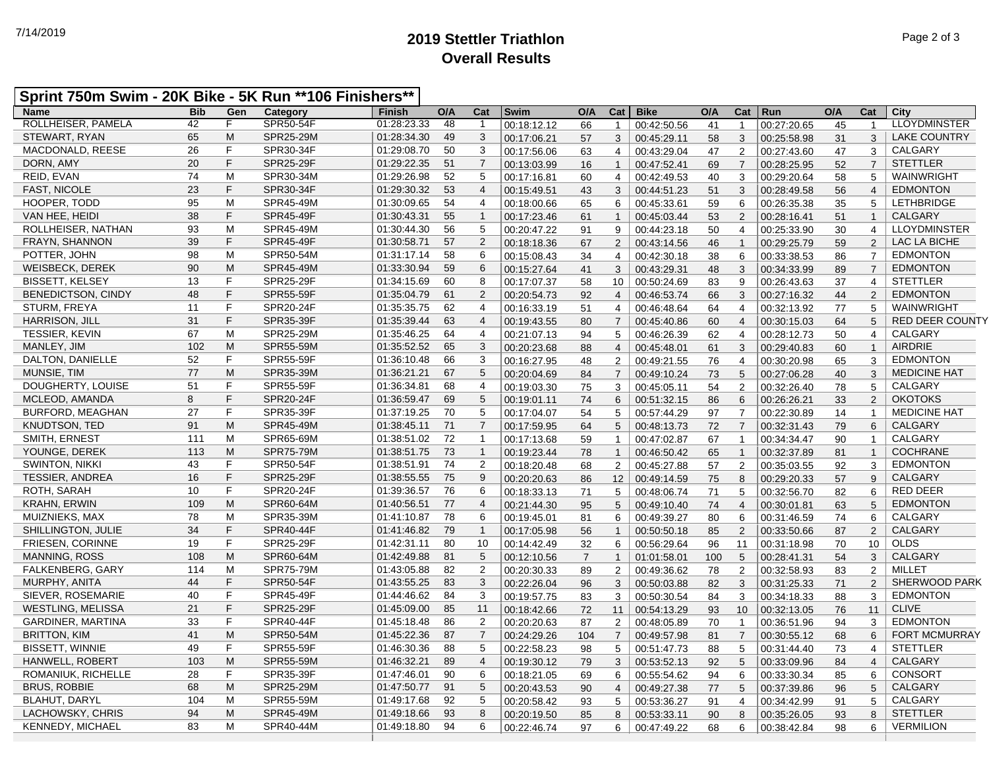## **2019 Stettler Triathlon** 7/14/2019 Page 2 of 3 **Overall Results**

## **Sprint 750m Swim - 20K Bike - 5K Run \*\*106 Finishers\*\***

| <b>Name</b>               | <b>Bib</b> | Gen         | Category         | Finish      | O/A | Cat            | Swim        | O/A            | Cat            | <b>Bike</b> | O/A | Cat            | Run         | O/A | Cat            | City                   |
|---------------------------|------------|-------------|------------------|-------------|-----|----------------|-------------|----------------|----------------|-------------|-----|----------------|-------------|-----|----------------|------------------------|
| ROLLHEISER, PAMELA        | 42         | F           | <b>SPR50-54F</b> | 01:28:23.33 | 48  | -1             | 00:18:12.12 | 66             | $\mathbf{1}$   | 00:42:50.56 | 41  | $\mathbf{1}$   | 00:27:20.65 | 45  | -1             | <b>LLOYDMINSTER</b>    |
| STEWART, RYAN             | 65         | M           | <b>SPR25-29M</b> | 01:28:34.30 | 49  | 3              | 00:17:06.21 | 57             | 3              | 00:45:29.11 | 58  | 3              | 00:25:58.98 | 31  | 3              | <b>LAKE COUNTRY</b>    |
| MACDONALD, REESE          | 26         | F           | SPR30-34F        | 01:29:08.70 | 50  | 3              | 00:17:56.06 | 63             | $\overline{4}$ | 00:43:29.04 | 47  | $\overline{2}$ | 00:27:43.60 | 47  | 3              | CALGARY                |
| DORN, AMY                 | 20         | F           | <b>SPR25-29F</b> | 01:29:22.35 | 51  | $\overline{7}$ | 00:13:03.99 | 16             | $\mathbf{1}$   | 00:47:52.41 | 69  | $\overline{7}$ | 00:28:25.95 | 52  | $\overline{7}$ | <b>STETTLER</b>        |
| REID, EVAN                | 74         | M           | SPR30-34M        | 01:29:26.98 | 52  | 5              | 00:17:16.81 | 60             | $\overline{4}$ | 00:42:49.53 | 40  | 3              | 00:29:20.64 | 58  | 5              | WAINWRIGHT             |
| <b>FAST, NICOLE</b>       | 23         | F           | SPR30-34F        | 01:29:30.32 | 53  | $\overline{4}$ | 00:15:49.51 | 43             | 3              | 00:44:51.23 | 51  | 3              | 00:28:49.58 | 56  | $\overline{4}$ | <b>EDMONTON</b>        |
| HOOPER, TODD              | 95         | M           | SPR45-49M        | 01:30:09.65 | 54  | $\overline{4}$ | 00:18:00.66 | 65             | 6              | 00:45:33.61 | 59  | 6              | 00:26:35.38 | 35  | 5              | <b>LETHBRIDGE</b>      |
| VAN HEE, HEIDI            | 38         | F           | <b>SPR45-49F</b> | 01:30:43.31 | 55  | $\overline{1}$ | 00:17:23.46 | 61             | $\mathbf{1}$   | 00:45:03.44 | 53  | 2              | 00:28:16.41 | 51  | $\mathbf{1}$   | <b>CALGARY</b>         |
| ROLLHEISER, NATHAN        | 93         | M           | SPR45-49M        | 01:30:44.30 | 56  | 5              | 00:20:47.22 | 91             | 9              | 00:44:23.18 | 50  | 4              | 00:25:33.90 | 30  | $\overline{4}$ | <b>LLOYDMINSTER</b>    |
| <b>FRAYN, SHANNON</b>     | 39         | F           | <b>SPR45-49F</b> | 01:30:58.71 | 57  | 2              | 00:18:18.36 | 67             | 2              | 00:43:14.56 | 46  | $\overline{1}$ | 00:29:25.79 | 59  | 2              | LAC LA BICHE           |
| POTTER, JOHN              | 98         | M           | SPR50-54M        | 01:31:17.14 | 58  | 6              | 00:15:08.43 | 34             | $\overline{4}$ | 00:42:30.18 | 38  | 6              | 00:33:38.53 | 86  | $\overline{7}$ | <b>EDMONTON</b>        |
| WEISBECK, DEREK           | 90         | M           | SPR45-49M        | 01:33:30.94 | 59  | 6              | 00:15:27.64 | 41             | 3              | 00:43:29.31 | 48  | 3              | 00:34:33.99 | 89  | $\overline{7}$ | <b>EDMONTON</b>        |
| <b>BISSETT, KELSEY</b>    | 13         | F           | SPR25-29F        | 01:34:15.69 | 60  | 8              | 00:17:07.37 | 58             | 10             | 00:50:24.69 | 83  | 9              | 00:26:43.63 | 37  | $\overline{4}$ | <b>STETTLER</b>        |
| <b>BENEDICTSON, CINDY</b> | 48         | F           | <b>SPR55-59F</b> | 01:35:04.79 | 61  | 2              | 00:20:54.73 | 92             | $\overline{4}$ | 00:46:53.74 | 66  | 3              | 00:27:16.32 | 44  | 2              | <b>EDMONTON</b>        |
| <b>STURM, FREYA</b>       | 11         | $\mathsf F$ | SPR20-24F        | 01:35:35.75 | 62  | $\overline{4}$ | 00:16:33.19 | 51             | $\overline{4}$ | 00:46:48.64 | 64  | $\overline{4}$ | 00:32:13.92 | 77  | 5              | WAINWRIGHT             |
| <b>HARRISON, JILL</b>     | 31         | F           | SPR35-39F        | 01:35:39.44 | 63  | $\overline{4}$ | 00:19:43.55 | 80             | $\overline{7}$ | 00:45:40.86 | 60  | $\overline{4}$ | 00:30:15.03 | 64  | 5              | <b>RED DEER COUNTY</b> |
| <b>TESSIER, KEVIN</b>     | 67         | M           | SPR25-29M        | 01:35:46.25 | 64  | $\overline{4}$ | 00:21:07.13 | 94             | 5              | 00:46:26.39 | 62  | $\overline{4}$ | 00:28:12.73 | 50  | $\overline{4}$ | CALGARY                |
| MANLEY, JIM               | 102        | M           | <b>SPR55-59M</b> | 01:35:52.52 | 65  | 3              | 00:20:23.68 | 88             | $\overline{4}$ | 00:45:48.01 | 61  | 3              | 00:29:40.83 | 60  | $\mathbf{1}$   | <b>AIRDRIE</b>         |
| DALTON, DANIELLE          | 52         | F           | <b>SPR55-59F</b> | 01:36:10.48 | 66  | 3              | 00:16:27.95 | 48             | $\overline{2}$ | 00:49:21.55 | 76  | $\overline{4}$ | 00:30:20.98 | 65  | 3              | <b>EDMONTON</b>        |
| MUNSIE, TIM               | 77         | M           | SPR35-39M        | 01:36:21.21 | 67  | 5              | 00:20:04.69 | 84             | $\overline{7}$ | 00:49:10.24 | 73  | 5              | 00:27:06.28 | 40  | 3              | <b>MEDICINE HAT</b>    |
| DOUGHERTY, LOUISE         | 51         | F           | SPR55-59F        | 01:36:34.81 | 68  | $\overline{4}$ | 00:19:03.30 | 75             | 3              | 00:45:05.11 | 54  | 2              | 00:32:26.40 | 78  | 5              | CALGARY                |
| MCLEOD, AMANDA            | 8          | F.          | <b>SPR20-24F</b> | 01:36:59.47 | 69  | $\sqrt{5}$     | 00:19:01.11 | 74             | 6              | 00:51:32.15 | 86  | 6              | 00:26:26.21 | 33  | 2              | <b>OKOTOKS</b>         |
| BURFORD, MEAGHAN          | 27         | $\mathsf F$ | SPR35-39F        | 01:37:19.25 | 70  | 5              | 00:17:04.07 | 54             | 5              | 00:57:44.29 | 97  | $\overline{7}$ | 00:22:30.89 | 14  | $\mathbf 1$    | <b>MEDICINE HAT</b>    |
| <b>KNUDTSON, TED</b>      | 91         | M           | SPR45-49M        | 01:38:45.11 | 71  | $\overline{7}$ | 00:17:59.95 | 64             | 5              | 00:48:13.73 | 72  | $\overline{7}$ | 00:32:31.43 | 79  | 6              | CALGARY                |
| SMITH, ERNEST             | 111        | M           | SPR65-69M        | 01:38:51.02 | 72  | $\mathbf{1}$   | 00:17:13.68 | 59             | $\mathbf{1}$   | 00:47:02.87 | 67  | $\overline{1}$ | 00:34:34.47 | 90  | $\overline{1}$ | CALGARY                |
| YOUNGE, DEREK             | 113        | M           | <b>SPR75-79M</b> | 01:38:51.75 | 73  | $\overline{1}$ | 00:19:23.44 | 78             | $\mathbf{1}$   | 00:46:50.42 | 65  | $\overline{1}$ | 00:32:37.89 | 81  | $\overline{1}$ | <b>COCHRANE</b>        |
| <b>SWINTON, NIKKI</b>     | 43         | F           | <b>SPR50-54F</b> | 01:38:51.91 | 74  | 2              | 00:18:20.48 | 68             | 2              | 00:45:27.88 | 57  | $\overline{2}$ | 00:35:03.55 | 92  | 3              | <b>EDMONTON</b>        |
| <b>TESSIER, ANDREA</b>    | 16         | F.          | SPR25-29F        | 01:38:55.55 | 75  | 9              | 00:20:20.63 | 86             | 12             | 00:49:14.59 | 75  | 8              | 00:29:20.33 | 57  | 9              | <b>CALGARY</b>         |
| ROTH, SARAH               | 10         | F           | SPR20-24F        | 01:39:36.57 | 76  | 6              | 00:18:33.13 | 71             | 5              | 00:48:06.74 | 71  | 5              | 00:32:56.70 | 82  | 6              | <b>RED DEER</b>        |
| <b>KRAHN, ERWIN</b>       | 109        | M           | SPR60-64M        | 01:40:56.51 | 77  | $\overline{4}$ | 00:21:44.30 | 95             | 5              | 00:49:10.40 | 74  | $\overline{4}$ | 00:30:01.81 | 63  | 5              | <b>EDMONTON</b>        |
| MUIZNIEKS, MAX            | 78         | M           | SPR35-39M        | 01:41:10.87 | 78  | 6              | 00:19:45.01 | 81             | 6              | 00:49:39.27 | 80  | 6              | 00:31:46.59 | 74  | 6              | CALGARY                |
| SHILLINGTON, JULIE        | 34         | F           | <b>SPR40-44F</b> | 01:41:46.82 | 79  | $\mathbf{1}$   | 00:17:05.98 | 56             | $\mathbf{1}$   | 00:50:50.18 | 85  | 2              | 00:33:50.66 | 87  | $\overline{2}$ | <b>CALGARY</b>         |
| FRIESEN, CORINNE          | 19         | F           | SPR25-29F        | 01:42:31.11 | 80  | 10             | 00:14:42.49 | 32             | 6              | 00:56:29.64 | 96  | 11             | 00:31:18.98 | 70  | 10             | <b>OLDS</b>            |
| <b>MANNING, ROSS</b>      | 108        | M           | SPR60-64M        | 01:42:49.88 | 81  | 5              | 00:12:10.56 | $\overline{7}$ | $\mathbf{1}$   | 01:01:58.01 | 100 | 5              | 00:28:41.31 | 54  | 3              | CALGARY                |
| FALKENBERG, GARY          | 114        | M           | SPR75-79M        | 01:43:05.88 | 82  | $\overline{2}$ | 00:20:30.33 | 89             | $\overline{2}$ | 00:49:36.62 | 78  | 2              | 00:32:58.93 | 83  | $\overline{2}$ | MILLET                 |
| MURPHY, ANITA             | 44         | F           | <b>SPR50-54F</b> | 01:43:55.25 | 83  | 3              | 00:22:26.04 | 96             | $\mathbf{3}$   | 00:50:03.88 | 82  | 3              | 00:31:25.33 | 71  | $\overline{2}$ | <b>SHERWOOD PARK</b>   |
| SIEVER, ROSEMARIE         | 40         | F           | <b>SPR45-49F</b> | 01:44:46.62 | 84  | 3              | 00:19:57.75 | 83             | 3              | 00:50:30.54 | 84  | 3              | 00:34:18.33 | 88  | 3              | <b>EDMONTON</b>        |
| <b>WESTLING, MELISSA</b>  | 21         | F.          | <b>SPR25-29F</b> | 01:45:09.00 | 85  | 11             | 00:18:42.66 | 72             | 11             | 00:54:13.29 | 93  | 10             | 00:32:13.05 | 76  | 11             | <b>CLIVE</b>           |
| GARDINER, MARTINA         | 33         | F           | <b>SPR40-44F</b> | 01:45:18.48 | 86  | 2              | 00:20:20.63 | 87             | $\overline{2}$ | 00:48:05.89 | 70  | $\overline{1}$ | 00:36:51.96 | 94  | 3              | <b>EDMONTON</b>        |
| <b>BRITTON, KIM</b>       | 41         | M           | SPR50-54M        | 01:45:22.36 | 87  | $\overline{7}$ | 00:24:29.26 | 104            | $\overline{7}$ | 00:49:57.98 | 81  | $\overline{7}$ | 00:30:55.12 | 68  | 6              | <b>FORT MCMURRAY</b>   |
| <b>BISSETT, WINNIE</b>    | 49         | F           | SPR55-59F        | 01:46:30.36 | 88  | 5              | 00:22:58.23 | 98             | 5              | 00:51:47.73 | 88  | 5              | 00:31:44.40 | 73  | $\overline{4}$ | <b>STETTLER</b>        |
| <b>HANWELL, ROBERT</b>    | 103        | M           | SPR55-59M        | 01:46:32.21 | 89  | $\overline{4}$ | 00:19:30.12 | 79             | 3              | 00:53:52.13 | 92  | 5              | 00:33:09.96 | 84  | $\overline{4}$ | CALGARY                |
| ROMANIUK, RICHELLE        | 28         | F           | SPR35-39F        | 01:47:46.01 | 90  | 6              | 00:18:21.05 | 69             | 6              | 00:55:54.62 | 94  | 6              | 00:33:30.34 | 85  | 6              | <b>CONSORT</b>         |
| <b>BRUS, ROBBIE</b>       | 68         | M           | SPR25-29M        | 01:47:50.77 | 91  | 5              | 00:20:43.53 | 90             | $\overline{4}$ | 00:49:27.38 | 77  | 5              | 00:37:39.86 | 96  | 5              | <b>CALGARY</b>         |
| <b>BLAHUT, DARYL</b>      | 104        | M           | SPR55-59M        | 01:49:17.68 | 92  | 5              | 00:20:58.42 | 93             | 5              | 00:53:36.27 | 91  | 4              | 00:34:42.99 | 91  | 5              | CALGARY                |
| LACHOWSKY, CHRIS          | 94         | M           | SPR45-49M        | 01:49:18.66 | 93  | 8              | 00:20:19.50 | 85             | 8              | 00:53:33.11 | 90  | 8              | 00:35:26.05 | 93  | 8              | <b>STETTLER</b>        |
| <b>KENNEDY, MICHAEL</b>   | 83         | M           | SPR40-44M        | 01:49:18.80 | 94  | 6              | 00:22:46.74 | 97             | 6              | 00:47:49.22 | 68  | 6              | 00:38:42.84 | 98  | 6              | <b>VERMILION</b>       |
|                           |            |             |                  |             |     |                |             |                |                |             |     |                |             |     |                |                        |